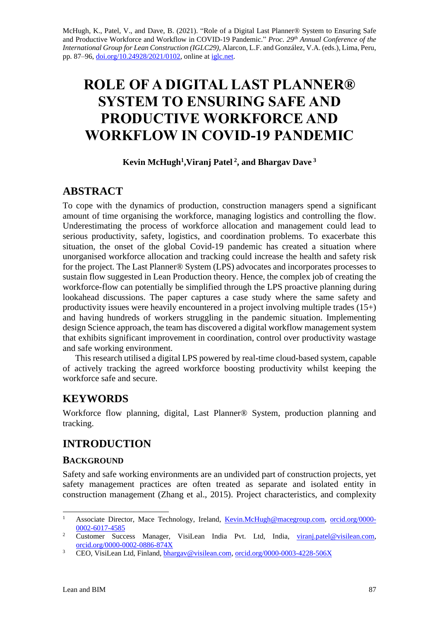McHugh, K., Patel, V., and Dave, B. (2021). "Role of a Digital Last Planner® System to Ensuring Safe and Productive Workforce and Workflow in COVID-19 Pandemic." *Proc. 29 th Annual Conference of the International Group for Lean Construction (IGLC29),* Alarcon, L.F. and González, V.A. (eds.)*,* Lima, Peru, pp. 87–96, [doi.org/10.24928/2021/0102,](https://doi.org/10.24928/2021/0102) online a[t iglc.net.](http://iglc.net/)

# **ROLE OF A DIGITAL LAST PLANNER® SYSTEM TO ENSURING SAFE AND PRODUCTIVE WORKFORCE AND WORKFLOW IN COVID-19 PANDEMIC**

### **Kevin McHugh<sup>1</sup>, Viranj Patel<sup>2</sup>, and Bhargav Dave<sup>3</sup>**

### **ABSTRACT**

To cope with the dynamics of production, construction managers spend a significant amount of time organising the workforce, managing logistics and controlling the flow. Underestimating the process of workforce allocation and management could lead to serious productivity, safety, logistics, and coordination problems. To exacerbate this situation, the onset of the global Covid-19 pandemic has created a situation where unorganised workforce allocation and tracking could increase the health and safety risk for the project. The Last Planner® System (LPS) advocates and incorporates processes to sustain flow suggested in Lean Production theory. Hence, the complex job of creating the workforce-flow can potentially be simplified through the LPS proactive planning during lookahead discussions. The paper captures a case study where the same safety and productivity issues were heavily encountered in a project involving multiple trades  $(15+)$ and having hundreds of workers struggling in the pandemic situation. Implementing design Science approach, the team has discovered a digital workflow management system that exhibits significant improvement in coordination, control over productivity wastage and safe working environment.

This research utilised a digital LPS powered by real-time cloud-based system, capable of actively tracking the agreed workforce boosting productivity whilst keeping the workforce safe and secure.

## **KEYWORDS**

Workforce flow planning, digital, Last Planner® System, production planning and tracking.

## **INTRODUCTION**

### **BACKGROUND**

Safety and safe working environments are an undivided part of construction projects, yet safety management practices are often treated as separate and isolated entity in construction management (Zhang et al., 2015). Project characteristics, and complexity

<sup>&</sup>lt;sup>1</sup> Associate Director, Mace Technology, Ireland, <u>Kevin.McHugh@macegroup.com, [orcid.org/0000-](https://orcid.org/0000-0002-6017-4585)</u> [0002-6017-4585](https://orcid.org/0000-0002-6017-4585)

<sup>&</sup>lt;sup>2</sup> Customer Success Manager, VisiLean India Pvt. Ltd, India, [viranj.patel@visilean.com,](mailto:viranj.patel@visilean.com) [orcid.org/0000-0002-0886-874X](https://orcid.org/0000-0002-0886-874X)

<sup>&</sup>lt;sup>3</sup> CEO, VisiLean Ltd, Finland[, bhargav@visilean.com,](mailto:bhargav@visilean.com) [orcid.org/0000-0003-4228-506X](https://orcid.org/0000-0003-4228-506X)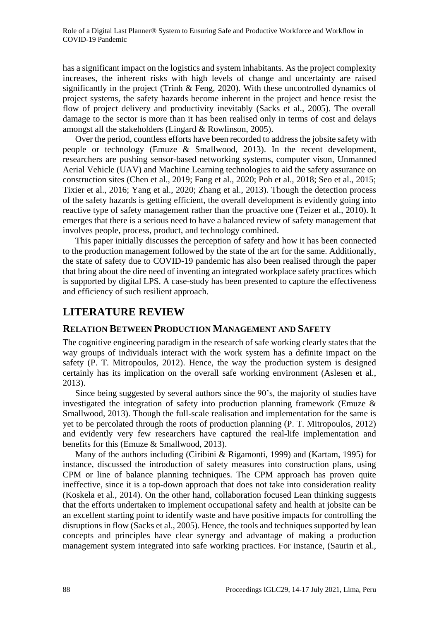has a significant impact on the logistics and system inhabitants. As the project complexity increases, the inherent risks with high levels of change and uncertainty are raised significantly in the project (Trinh & Feng, 2020). With these uncontrolled dynamics of project systems, the safety hazards become inherent in the project and hence resist the flow of project delivery and productivity inevitably (Sacks et al., 2005). The overall damage to the sector is more than it has been realised only in terms of cost and delays amongst all the stakeholders (Lingard & Rowlinson, 2005).

Over the period, countless efforts have been recorded to address the jobsite safety with people or technology (Emuze & Smallwood, 2013). In the recent development, researchers are pushing sensor-based networking systems, computer vison, Unmanned Aerial Vehicle (UAV) and Machine Learning technologies to aid the safety assurance on construction sites (Chen et al., 2019; Fang et al., 2020; Poh et al., 2018; Seo et al., 2015; Tixier et al., 2016; Yang et al., 2020; Zhang et al., 2013). Though the detection process of the safety hazards is getting efficient, the overall development is evidently going into reactive type of safety management rather than the proactive one (Teizer et al., 2010). It emerges that there is a serious need to have a balanced review of safety management that involves people, process, product, and technology combined.

This paper initially discusses the perception of safety and how it has been connected to the production management followed by the state of the art for the same. Additionally, the state of safety due to COVID-19 pandemic has also been realised through the paper that bring about the dire need of inventing an integrated workplace safety practices which is supported by digital LPS. A case-study has been presented to capture the effectiveness and efficiency of such resilient approach.

### **LITERATURE REVIEW**

### **RELATION BETWEEN PRODUCTION MANAGEMENT AND SAFETY**

The cognitive engineering paradigm in the research of safe working clearly states that the way groups of individuals interact with the work system has a definite impact on the safety (P. T. Mitropoulos, 2012). Hence, the way the production system is designed certainly has its implication on the overall safe working environment (Aslesen et al., 2013).

Since being suggested by several authors since the 90's, the majority of studies have investigated the integration of safety into production planning framework (Emuze & Smallwood, 2013). Though the full-scale realisation and implementation for the same is yet to be percolated through the roots of production planning (P. T. Mitropoulos, 2012) and evidently very few researchers have captured the real-life implementation and benefits for this (Emuze & Smallwood, 2013).

Many of the authors including (Ciribini & Rigamonti, 1999) and (Kartam, 1995) for instance, discussed the introduction of safety measures into construction plans, using CPM or line of balance planning techniques. The CPM approach has proven quite ineffective, since it is a top-down approach that does not take into consideration reality (Koskela et al., 2014). On the other hand, collaboration focused Lean thinking suggests that the efforts undertaken to implement occupational safety and health at jobsite can be an excellent starting point to identify waste and have positive impacts for controlling the disruptions in flow (Sacks et al., 2005). Hence, the tools and techniques supported by lean concepts and principles have clear synergy and advantage of making a production management system integrated into safe working practices. For instance, (Saurin et al.,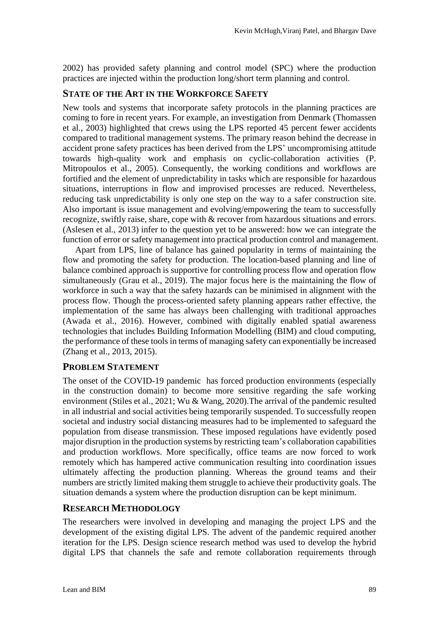2002) has provided safety planning and control model (SPC) where the production practices are injected within the production long/short term planning and control.

#### **STATE OF THE ART IN THE WORKFORCE SAFETY**

New tools and systems that incorporate safety protocols in the planning practices are coming to fore in recent years. For example, an investigation from Denmark (Thomassen et al., 2003) highlighted that crews using the LPS reported 45 percent fewer accidents compared to traditional management systems. The primary reason behind the decrease in accident prone safety practices has been derived from the LPS' uncompromising attitude towards high-quality work and emphasis on cyclic-collaboration activities (P. Mitropoulos et al., 2005). Consequently, the working conditions and workflows are fortified and the element of unpredictability in tasks which are responsible for hazardous situations, interruptions in flow and improvised processes are reduced. Nevertheless, reducing task unpredictability is only one step on the way to a safer construction site. Also important is issue management and evolving/empowering the team to successfully recognize, swiftly raise, share, cope with & recover from hazardous situations and errors. (Aslesen et al., 2013) infer to the question yet to be answered: how we can integrate the function of error or safety management into practical production control and management.

Apart from LPS, line of balance has gained popularity in terms of maintaining the flow and promoting the safety for production. The location-based planning and line of balance combined approach is supportive for controlling process flow and operation flow simultaneously (Grau et al., 2019). The major focus here is the maintaining the flow of workforce in such a way that the safety hazards can be minimised in alignment with the process flow. Though the process-oriented safety planning appears rather effective, the implementation of the same has always been challenging with traditional approaches (Awada et al., 2016). However, combined with digitally enabled spatial awareness technologies that includes Building Information Modelling (BIM) and cloud computing, the performance of these tools in terms of managing safety can exponentially be increased (Zhang et al., 2013, 2015).

### **PROBLEM STATEMENT**

The onset of the COVID-19 pandemic has forced production environments (especially in the construction domain) to become more sensitive regarding the safe working environment (Stiles et al., 2021; Wu & Wang, 2020).The arrival of the pandemic resulted in all industrial and social activities being temporarily suspended. To successfully reopen societal and industry social distancing measures had to be implemented to safeguard the population from disease transmission. These imposed regulations have evidently posed major disruption in the production systems by restricting team's collaboration capabilities and production workflows. More specifically, office teams are now forced to work remotely which has hampered active communication resulting into coordination issues ultimately affecting the production planning. Whereas the ground teams and their numbers are strictly limited making them struggle to achieve their productivity goals. The situation demands a system where the production disruption can be kept minimum.

#### **RESEARCH METHODOLOGY**

The researchers were involved in developing and managing the project LPS and the development of the existing digital LPS. The advent of the pandemic required another iteration for the LPS. Design science research method was used to develop the hybrid digital LPS that channels the safe and remote collaboration requirements through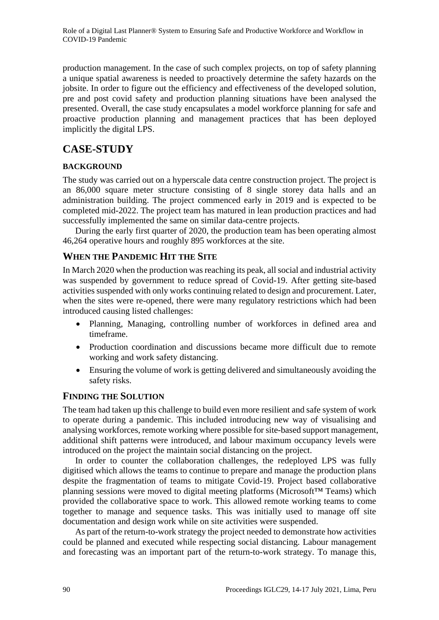production management. In the case of such complex projects, on top of safety planning a unique spatial awareness is needed to proactively determine the safety hazards on the jobsite. In order to figure out the efficiency and effectiveness of the developed solution, pre and post covid safety and production planning situations have been analysed the presented. Overall, the case study encapsulates a model workforce planning for safe and proactive production planning and management practices that has been deployed implicitly the digital LPS.

## **CASE-STUDY**

### **BACKGROUND**

The study was carried out on a hyperscale data centre construction project. The project is an 86,000 square meter structure consisting of 8 single storey data halls and an administration building. The project commenced early in 2019 and is expected to be completed mid-2022. The project team has matured in lean production practices and had successfully implemented the same on similar data-centre projects.

During the early first quarter of 2020, the production team has been operating almost 46,264 operative hours and roughly 895 workforces at the site.

### **WHEN THE PANDEMIC HIT THE SITE**

In March 2020 when the production was reaching its peak, all social and industrial activity was suspended by government to reduce spread of Covid-19. After getting site-based activities suspended with only works continuing related to design and procurement. Later, when the sites were re-opened, there were many regulatory restrictions which had been introduced causing listed challenges:

- Planning, Managing, controlling number of workforces in defined area and timeframe.
- Production coordination and discussions became more difficult due to remote working and work safety distancing.
- Ensuring the volume of work is getting delivered and simultaneously avoiding the safety risks.

### **FINDING THE SOLUTION**

The team had taken up this challenge to build even more resilient and safe system of work to operate during a pandemic. This included introducing new way of visualising and analysing workforces, remote working where possible for site-based support management, additional shift patterns were introduced, and labour maximum occupancy levels were introduced on the project the maintain social distancing on the project.

In order to counter the collaboration challenges, the redeployed LPS was fully digitised which allows the teams to continue to prepare and manage the production plans despite the fragmentation of teams to mitigate Covid-19. Project based collaborative planning sessions were moved to digital meeting platforms (Microsoft™ Teams) which provided the collaborative space to work. This allowed remote working teams to come together to manage and sequence tasks. This was initially used to manage off site documentation and design work while on site activities were suspended.

As part of the return-to-work strategy the project needed to demonstrate how activities could be planned and executed while respecting social distancing. Labour management and forecasting was an important part of the return-to-work strategy. To manage this,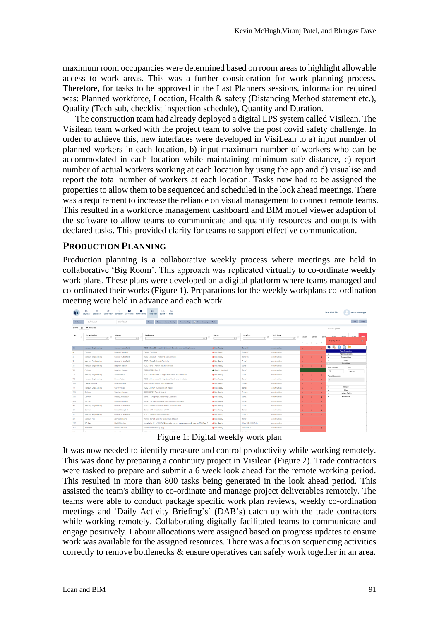maximum room occupancies were determined based on room areas to highlight allowable access to work areas. This was a further consideration for work planning process. Therefore, for tasks to be approved in the Last Planners sessions, information required was: Planned workforce, Location, Health & safety (Distancing Method statement etc.), Quality (Tech sub, checklist inspection schedule), Quantity and Duration.

The construction team had already deployed a digital LPS system called Visilean. The Visilean team worked with the project team to solve the post covid safety challenge. In order to achieve this, new interfaces were developed in VisiLean to a) input number of planned workers in each location, b) input maximum number of workers who can be accommodated in each location while maintaining minimum safe distance, c) report number of actual workers working at each location by using the app and d) visualise and report the total number of workers at each location. Tasks now had to be assigned the properties to allow them to be sequenced and scheduled in the look ahead meetings. There was a requirement to increase the reliance on visual management to connect remote teams. This resulted in a workforce management dashboard and BIM model viewer adaption of the software to allow teams to communicate and quantify resources and outputs with declared tasks. This provided clarity for teams to support effective communication.

#### **PRODUCTION PLANNING**

Production planning is a collaborative weekly process where meetings are held in collaborative 'Big Room'. This approach was replicated virtually to co-ordinate weekly work plans. These plans were developed on a digital platform where teams managed and co-ordinated their works (Figure 1). Preparations for the weekly workplans co-ordination meeting were held in advance and each work.

|                                                                                                                              | æ<br>Dashboard<br><b>Cantt View</b><br>Layout + | m<br>Scheduler<br><b>3D Models</b><br>Notifications | 带<br>토<br>₿<br>Export +<br>Filter<br>Table View                             |                          |                           |                              |                |                    |                 | New CLN 58 -            | Kevin McHugh                                      |
|------------------------------------------------------------------------------------------------------------------------------|-------------------------------------------------|-----------------------------------------------------|-----------------------------------------------------------------------------|--------------------------|---------------------------|------------------------------|----------------|--------------------|-----------------|-------------------------|---------------------------------------------------|
| copy<br>25/01/2021<br>31/01/2021<br>PDF<br>View Config<br>V Show Unassigned Tasks<br>Clear<br>Save Config<br>Columns<br>Show |                                                 |                                                     |                                                                             |                          |                           |                              |                |                    |                 |                         |                                                   |
|                                                                                                                              | Show $25 \times$ entries<br>Week 4 / 2021       |                                                     |                                                                             |                          |                           |                              |                |                    |                 |                         |                                                   |
| No.                                                                                                                          | Organisation<br>$\overline{\alpha}$             | Owner<br>$\overline{a}$                             | Task name<br>$\alpha$                                                       | Status<br>$\overline{a}$ | Location<br>$_{17}$<br>वा | <b>Task Type</b><br>$\alpha$ | 25/01          | 26/01              |                 | 27/01                   |                                                   |
|                                                                                                                              |                                                 |                                                     |                                                                             |                          |                           |                              | P A            |                    | <b>P</b><br>P A | <b>Property Panel</b>   | $\bullet$                                         |
| -62                                                                                                                          | Marcury Engineering                             | Cordon Nutterfield                                  | 7000 - Zone SC - Install HL Branch Containment Linking Rooms                | Not Ready                | Zone SC                   | construction                 |                |                    |                 |                         | 9 % 前见 #                                          |
| $\circ$                                                                                                                      | Dornan                                          | Patrick Campbell                                    | Centre Comidors                                                             | Not Ready                | Zone CC                   | construction                 |                |                    |                 | $\sim$                  | <b>Task Properties</b><br><b>Plan Constraints</b> |
| 33                                                                                                                           | Mercury Engineering                             | Cordon Nutterfield                                  | 7000 - Zone CC - Irvitall HL Containment                                    | Not Ready                | Zone CC                   | construction                 | $\overline{a}$ | $\overline{2}$     | $\mathbf{z}$    |                         | Prerequisites                                     |
| 32                                                                                                                           | Mercury Engineering                             | Conton Numerliefd                                   | 7000 - Zona 9 - Install Conduits                                            | Not Ready                | Zone 9                    | construction                 | $\overline{a}$ |                    |                 |                         | <b>Notes</b><br>Quantities                        |
| 36                                                                                                                           | Mercury Engineering                             | Stephen Nellan                                      | 7000 - RMS - Admin first fix conduit                                        | Not Ready                | Zone 7                    | construction                 | $\overline{a}$ |                    | $\overline{2}$  | <b>Total Planned</b>    | Unit                                              |
| 151                                                                                                                          | <b>Ardman</b>                                   | Stephen Cooney                                      | RESOURCES Zone 7                                                            | <b>Cuality checked</b>   | Zone 7                    | construction                 |                |                    |                 | 30                      | percent                                           |
| 177                                                                                                                          | Mercury Engineering                             | Simon Felton                                        | 7000 - Admin Area 7 - High Level Vesda and Conduits                         | Not Ready                | Zone 7                    | construction                 |                |                    |                 | <b>Actual Completed</b> |                                                   |
| 175                                                                                                                          | <b>Mercury Engineering</b>                      | Simon Felton                                        | 7000 - Admin Area 6 - High Level Vesda and Conduits                         | Not Ready                | Zone 6                    | construction                 | $\overline{a}$ |                    |                 | $\circ$                 |                                                   |
| 339                                                                                                                          | Dearie Roofing                                  | Ricky rabiohns                                      | 3200 Admin Curtain Wall Remedials                                           | Not Ready                | Zone 6                    | construction                 | $\overline{z}$ | $\overline{2}$     | $\rightarrow$   |                         |                                                   |
| 174                                                                                                                          | Mercury Engineering                             | Cavin O'Toole                                       | 7000 - Admin - Containment Install                                          | Not Ready                | Zone 5                    | construction                 | ×              |                    |                 |                         | History<br>Files                                  |
| 229                                                                                                                          | <b>Ardmac</b>                                   | Stephen Cooney                                      | RESOURCES Zone 4 Task 4                                                     | Not Ready                | Zone 4                    | construction                 | $\blacksquare$ |                    |                 |                         | <b>Custom Fields</b>                              |
| 303                                                                                                                          | Dornan                                          | Mariei Grzeszczuk                                   | Zone 3 - Shipping & Receiving: Ductwork                                     | Not Ready                | Zone 3                    | construction                 | $\overline{z}$ |                    |                 |                         | Workforce                                         |
| 304                                                                                                                          | Dornan                                          | <b>Patrick Campbell</b>                             | Zone 3 - Shipping & Receiving: Ductwork Insulation                          | Not Ready                | Zone 3                    | construction                 | $\overline{2}$ |                    |                 |                         |                                                   |
| 40                                                                                                                           | Mercury Engineering                             | Cordon Nutterfield                                  | 7000 - Zone 2 - Install HL Branch Containment                               | Not Ready                | Zone 2                    | construction                 | $\overline{a}$ |                    |                 |                         |                                                   |
| 60                                                                                                                           | Dornan                                          | <b>Patrick Carmpbell</b>                            | Zone 2 VRF - Installation of VRF                                            | Not Ready                | $Z$ one $2$               | construction                 | $\mathbf{x}$   | $\bar{\mathbf{x}}$ | $\mathcal{R}$   |                         |                                                   |
| 38                                                                                                                           | Mercury Engineering                             | Cordon Nutterfield                                  | 7000 - Zone 10 - Install Conduits                                           | Not Ready                | Zone 10                   | construction                 | $\overline{a}$ |                    |                 |                         |                                                   |
| $34$                                                                                                                         | Mercury Fire                                    | <b>James Williams</b>                               | Admin Zone 1 - 2nd Fix Task 2 Task 3 Task 1                                 | Not Ready                | Zone 1                    | construction                 |                |                    |                 |                         |                                                   |
| 287                                                                                                                          | 3 Coffey                                        | Niall Callagher                                     | Installation/Cx of SW/FW Pumps/Actuators (dependent on Power on TBC) Task 3 | Not Ready                | West SLD1/5 LD10          | construction                 |                |                    |                 |                         |                                                   |
| 227                                                                                                                          | Allendale                                       | <b>Bichie Glennon</b>                               | Roof Maintenance (Days)                                                     | Not Ready                | Roof CLN 5                | construction                 |                |                    |                 |                         |                                                   |
|                                                                                                                              |                                                 |                                                     |                                                                             |                          |                           |                              |                |                    |                 |                         |                                                   |

Figure 1: Digital weekly work plan

It was now needed to identify measure and control productivity while working remotely. This was done by preparing a continuity project in Visilean (Figure 2). Trade contractors were tasked to prepare and submit a 6 week look ahead for the remote working period. This resulted in more than 800 tasks being generated in the look ahead period. This assisted the team's ability to co-ordinate and manage project deliverables remotely. The teams were able to conduct package specific work plan reviews, weekly co-ordination meetings and 'Daily Activity Briefing's' (DAB's) catch up with the trade contractors while working remotely. Collaborating digitally facilitated teams to communicate and engage positively. Labour allocations were assigned based on progress updates to ensure work was available for the assigned resources. There was a focus on sequencing activities correctly to remove bottlenecks & ensure operatives can safely work together in an area.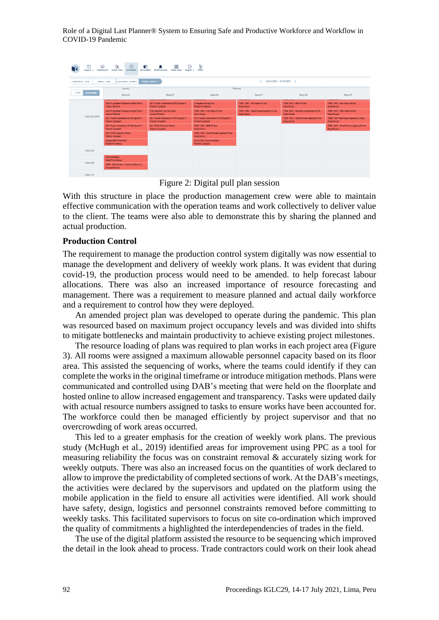Role of a Digital Last Planner® System to Ensuring Safe and Productive Workforce and Workflow in COVID-19 Pandemic



Figure 2: Digital pull plan session

With this structure in place the production management crew were able to maintain effective communication with the operation teams and work collectively to deliver value to the client. The teams were also able to demonstrate this by sharing the planned and actual production.

#### **Production Control**

The requirement to manage the production control system digitally was now essential to manage the development and delivery of weekly work plans. It was evident that during covid-19, the production process would need to be amended. to help forecast labour allocations. There was also an increased importance of resource forecasting and management. There was a requirement to measure planned and actual daily workforce and a requirement to control how they were deployed.

An amended project plan was developed to operate during the pandemic. This plan was resourced based on maximum project occupancy levels and was divided into shifts to mitigate bottlenecks and maintain productivity to achieve existing project milestones.

The resource loading of plans was required to plan works in each project area (Figure 3). All rooms were assigned a maximum allowable personnel capacity based on its floor area. This assisted the sequencing of works, where the teams could identify if they can complete the works in the original timeframe or introduce mitigation methods. Plans were communicated and controlled using DAB's meeting that were held on the floorplate and hosted online to allow increased engagement and transparency. Tasks were updated daily with actual resource numbers assigned to tasks to ensure works have been accounted for. The workforce could then be managed efficiently by project supervisor and that no overcrowding of work areas occurred.

This led to a greater emphasis for the creation of weekly work plans. The previous study (McHugh et al., 2019) identified areas for improvement using PPC as a tool for measuring reliability the focus was on constraint removal & accurately sizing work for weekly outputs. There was also an increased focus on the quantities of work declared to allow to improve the predictability of completed sections of work. At the DAB's meetings, the activities were declared by the supervisors and updated on the platform using the mobile application in the field to ensure all activities were identified. All work should have safety, design, logistics and personnel constraints removed before committing to weekly tasks. This facilitated supervisors to focus on site co-ordination which improved the quality of commitments a highlighted the interdependencies of trades in the field.

The use of the digital platform assisted the resource to be sequencing which improved the detail in the look ahead to process. Trade contractors could work on their look ahead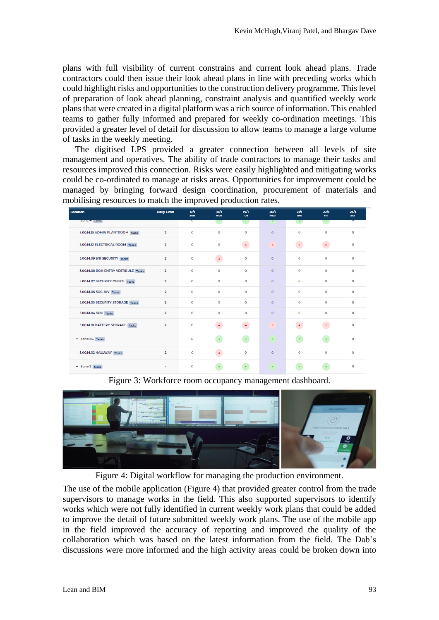plans with full visibility of current constrains and current look ahead plans. Trade contractors could then issue their look ahead plans in line with preceding works which could highlight risks and opportunities to the construction delivery programme. This level of preparation of look ahead planning, constraint analysis and quantified weekly work plans that were created in a digital platform was a rich source of information. This enabled teams to gather fully informed and prepared for weekly co-ordination meetings. This provided a greater level of detail for discussion to allow teams to manage a large volume of tasks in the weekly meeting.

The digitised LPS provided a greater connection between all levels of site management and operatives. The ability of trade contractors to manage their tasks and resources improved this connection. Risks were easily highlighted and mitigating works could be co-ordinated to manage at risks areas. Opportunities for improvement could be managed by bringing forward design coordination, procurement of materials and mobilising resources to match the improved production rates.

| Location                            | <b>Daily Limit</b>      | 17/h<br><b>SUN</b> | 18/1<br><b>MON</b> | 19/1<br><b>TUE</b> | 20/1<br><b>WED</b>   | 21/1<br><b>THU</b> | 22h<br>FRI.         | 23/1<br><b>SAT</b> |
|-------------------------------------|-------------------------|--------------------|--------------------|--------------------|----------------------|--------------------|---------------------|--------------------|
| <b>ZUITE 4 TRISKS</b>               |                         | w                  |                    |                    | Τ                    |                    |                     |                    |
| 5.00.M.15 ADMIN PLANTROOM Tasks     | $\overline{2}$          | $\Omega$           | $\Omega$           | $\Omega$           | $\Omega$             | $\Omega$           | $\Omega$            | $\Omega$           |
| 5.00.M.12 ELECTRICAL ROOM Tasks     | $\overline{2}$          | $\mathbf 0$        | $\mathbf 0$        | $\epsilon$         | 6                    | $\epsilon$         | $\overline{6}$      | $\mathbf 0$        |
| 5.00.M.09 S/R SECURITY Tasks        | $\overline{2}$          | $\mathbf{O}$       | $\overline{2}$     | $\Omega$           | $\Omega$             | $\Omega$           | $\mathbf{O}$        | $\mathbf 0$        |
| 5.00.M.08 BOH ENTRY VESTIBULE Tasks | $\overline{2}$          | $\mathbf 0$        | $\mathbf 0$        | $\mathbf 0$        | $\circ$              | $\Omega$           | $\mathbf 0$         | $\mathbf 0$        |
| 5.00.M.07 SECURITY OFFICE Tasks     | $\overline{2}$          | $\mathbf{O}$       | $\mathbf{O}$       | $\Omega$           | $\circ$              | $\mathbf 0$        | $\mathbf{O}$        | $\mathbf 0$        |
| 5.00.M.06 SOC A/V Tasks             | $\overline{2}$          | $\circ$            | $\circ$            | $\mathbf 0$        | $\circ$              | $\Omega$           | $\circ$             | $\mathbf 0$        |
| 5.00.M.05 SECURITY STORAGE Tasks    | $\overline{2}$          | $\mathbf 0$        | $\Omega$           | $\mathbf 0$        | $\circ$              | $\Omega$           | $\mathbf 0$         | $\mathbf 0$        |
| 5.00.M.04 SOC Tasks                 | $\overline{2}$          | $\mathbf 0$        | $\mathbf{O}$       | $\mathbf 0$        | $\circ$              | $\mathbf 0$        | $\Omega$            | $\mathbf 0$        |
| 5.00.M.01 BATTERY STORAGE Tasks     | $\overline{2}$          | $\mathbf 0$        | $\overline{4}$     | $\overline{4}$     | 6                    | $\frac{1}{2}$      | $\overline{2}$      | $\mathbf 0$        |
| - Zone SC Tasks                     | ٠                       | $\mathbf 0$        | $\overline{4}$     | $\overline{4}$     | $\tilde{\mathbf{q}}$ | $\overline{4}$     | $\overline{4}$      | $\mathbf 0$        |
| 5.00.M.02 HALLWAY Tasks             | $\overline{\mathbf{2}}$ | $\mathbf 0$        | $\overline{2}$     | $\mathbf 0$        | $\mathbf{O}$         | $\mathbf 0$        | $\mathbf{o}$        | $\mathbf 0$        |
| $-$ Zone $2$ Tasks                  | ٠                       | $\mathbf 0$        | $\overline{4}$     |                    | $\overline{4}$       | $\overline{4}$     | $\ddot{\mathbf{r}}$ | $\mathbf 0$        |

Figure 3: Workforce room occupancy management dashboard.



Figure 4: Digital workflow for managing the production environment.

The use of the mobile application (Figure 4) that provided greater control from the trade supervisors to manage works in the field. This also supported supervisors to identify works which were not fully identified in current weekly work plans that could be added to improve the detail of future submitted weekly work plans. The use of the mobile app in the field improved the accuracy of reporting and improved the quality of the collaboration which was based on the latest information from the field. The Dab's discussions were more informed and the high activity areas could be broken down into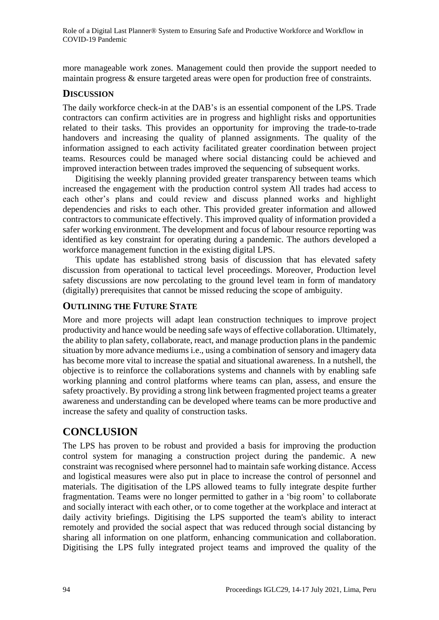more manageable work zones. Management could then provide the support needed to maintain progress & ensure targeted areas were open for production free of constraints.

#### **DISCUSSION**

The daily workforce check-in at the DAB's is an essential component of the LPS. Trade contractors can confirm activities are in progress and highlight risks and opportunities related to their tasks. This provides an opportunity for improving the trade-to-trade handovers and increasing the quality of planned assignments. The quality of the information assigned to each activity facilitated greater coordination between project teams. Resources could be managed where social distancing could be achieved and improved interaction between trades improved the sequencing of subsequent works.

Digitising the weekly planning provided greater transparency between teams which increased the engagement with the production control system All trades had access to each other's plans and could review and discuss planned works and highlight dependencies and risks to each other. This provided greater information and allowed contractors to communicate effectively. This improved quality of information provided a safer working environment. The development and focus of labour resource reporting was identified as key constraint for operating during a pandemic. The authors developed a workforce management function in the existing digital LPS.

This update has established strong basis of discussion that has elevated safety discussion from operational to tactical level proceedings. Moreover, Production level safety discussions are now percolating to the ground level team in form of mandatory (digitally) prerequisites that cannot be missed reducing the scope of ambiguity.

### **OUTLINING THE FUTURE STATE**

More and more projects will adapt lean construction techniques to improve project productivity and hance would be needing safe ways of effective collaboration. Ultimately, the ability to plan safety, collaborate, react, and manage production plans in the pandemic situation by more advance mediums i.e., using a combination of sensory and imagery data has become more vital to increase the spatial and situational awareness. In a nutshell, the objective is to reinforce the collaborations systems and channels with by enabling safe working planning and control platforms where teams can plan, assess, and ensure the safety proactively. By providing a strong link between fragmented project teams a greater awareness and understanding can be developed where teams can be more productive and increase the safety and quality of construction tasks.

## **CONCLUSION**

The LPS has proven to be robust and provided a basis for improving the production control system for managing a construction project during the pandemic. A new constraint was recognised where personnel had to maintain safe working distance. Access and logistical measures were also put in place to increase the control of personnel and materials. The digitisation of the LPS allowed teams to fully integrate despite further fragmentation. Teams were no longer permitted to gather in a 'big room' to collaborate and socially interact with each other, or to come together at the workplace and interact at daily activity briefings. Digitising the LPS supported the team's ability to interact remotely and provided the social aspect that was reduced through social distancing by sharing all information on one platform, enhancing communication and collaboration. Digitising the LPS fully integrated project teams and improved the quality of the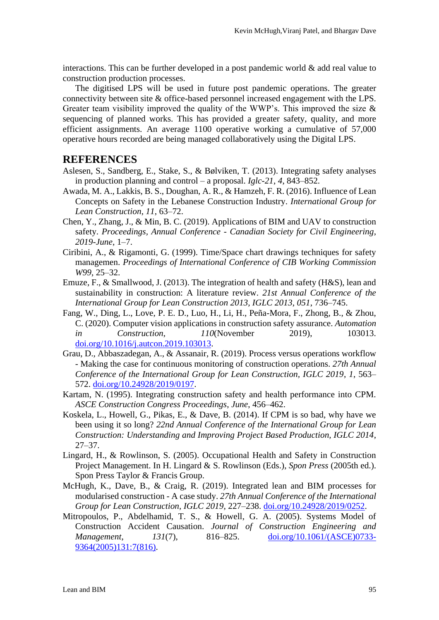interactions. This can be further developed in a post pandemic world  $\&$  add real value to construction production processes.

The digitised LPS will be used in future post pandemic operations. The greater connectivity between site & office-based personnel increased engagement with the LPS. Greater team visibility improved the quality of the WWP's. This improved the size  $\&$ sequencing of planned works. This has provided a greater safety, quality, and more efficient assignments. An average 1100 operative working a cumulative of 57,000 operative hours recorded are being managed collaboratively using the Digital LPS.

### **REFERENCES**

- Aslesen, S., Sandberg, E., Stake, S., & Bølviken, T. (2013). Integrating safety analyses in production planning and control – a proposal. *Iglc-21*, *4*, 843–852.
- Awada, M. A., Lakkis, B. S., Doughan, A. R., & Hamzeh, F. R. (2016). Influence of Lean Concepts on Safety in the Lebanese Construction Industry. *International Group for Lean Construction*, *11*, 63–72.
- Chen, Y., Zhang, J., & Min, B. C. (2019). Applications of BIM and UAV to construction safety. *Proceedings, Annual Conference - Canadian Society for Civil Engineering*, *2019*-*June*, 1–7.
- Ciribini, A., & Rigamonti, G. (1999). Time/Space chart drawings techniques for safety managemen. *Proceedings of International Conference of CIB Working Commission W99*, 25–32.
- Emuze, F., & Smallwood, J. (2013). The integration of health and safety (H&S), lean and sustainability in construction: A literature review. *21st Annual Conference of the International Group for Lean Construction 2013, IGLC 2013*, *051*, 736–745.
- Fang, W., Ding, L., Love, P. E. D., Luo, H., Li, H., Peña-Mora, F., Zhong, B., & Zhou, C. (2020). Computer vision applications in construction safety assurance. *Automation in Construction*, *110*(November 2019), 103013. [doi.org/10.1016/j.autcon.2019.103013.](https://doi.org/10.1016/j.autcon.2019.103013)
- Grau, D., Abbaszadegan, A., & Assanair, R. (2019). Process versus operations workflow - Making the case for continuous monitoring of construction operations. *27th Annual Conference of the International Group for Lean Construction, IGLC 2019*, *1*, 563– 572. [doi.org/10.24928/2019/0197.](https://doi.org/10.24928/2019/0197)
- Kartam, N. (1995). Integrating construction safety and health performance into CPM. *ASCE Construction Congress Proceedings*, *June*, 456–462.
- Koskela, L., Howell, G., Pikas, E., & Dave, B. (2014). If CPM is so bad, why have we been using it so long? *22nd Annual Conference of the International Group for Lean Construction: Understanding and Improving Project Based Production, IGLC 2014*, 27–37.
- Lingard, H., & Rowlinson, S. (2005). Occupational Health and Safety in Construction Project Management. In H. Lingard & S. Rowlinson (Eds.), *Spon Press* (2005th ed.). Spon Press Taylor & Francis Group.
- McHugh, K., Dave, B., & Craig, R. (2019). Integrated lean and BIM processes for modularised construction - A case study. *27th Annual Conference of the International Group for Lean Construction, IGLC 2019*, 227–238. [doi.org/10.24928/2019/0252.](https://doi.org/10.24928/2019/0252)
- Mitropoulos, P., Abdelhamid, T. S., & Howell, G. A. (2005). Systems Model of Construction Accident Causation. *Journal of Construction Engineering and Management*, *131*(7), 816–825. [doi.org/10.1061/\(ASCE\)0733-](https://doi.org/10.1061/(ASCE)0733-9364(2005)131:7(816)) [9364\(2005\)131:7\(816\).](https://doi.org/10.1061/(ASCE)0733-9364(2005)131:7(816))